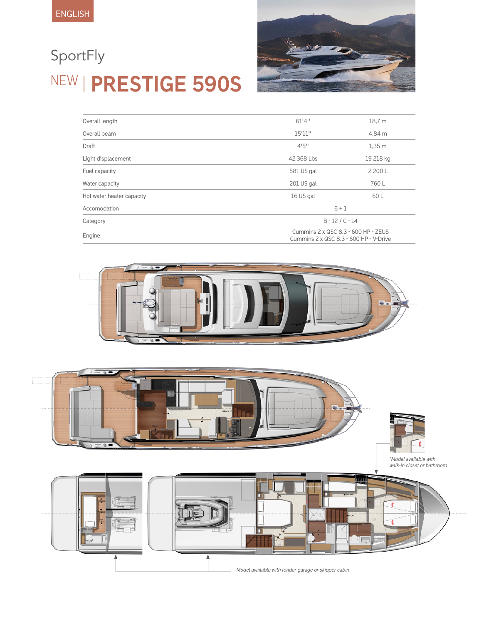# NEW **PRESTIGE 590S** SportFly



| Overall length            | 61'4''                                                                        | 18,7 m            |  |
|---------------------------|-------------------------------------------------------------------------------|-------------------|--|
| Overall beam              | 15'11"                                                                        | 4,84 m            |  |
| Draft                     | 4!5"                                                                          | 1,35m             |  |
| Light displacement        | 42 368 Lbs                                                                    | 19 218 kg         |  |
| Fuel capacity             | 581 US gal                                                                    | 2 200 L           |  |
| Water capacity            | 201 US gal                                                                    | 760L              |  |
| Hot water heater capacity | 16 US gal                                                                     | 60 L              |  |
| Accomodation              |                                                                               | $6 + 1$           |  |
| Category                  |                                                                               | $B - 12 / C - 14$ |  |
| Engine                    | Cummins 2 x QSC 8.3 - 600 HP - ZEUS<br>Cummins 2 x QSC 8.3 - 600 HP - V-Drive |                   |  |